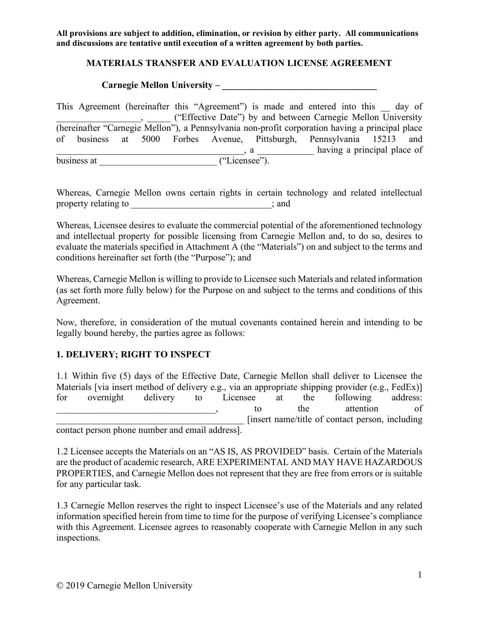### **MATERIALS TRANSFER AND EVALUATION LICENSE AGREEMENT**

**Carnegie Mellon University – \_\_\_\_\_\_\_\_\_\_\_\_\_\_\_\_\_\_\_\_\_\_\_\_\_\_\_\_\_\_\_\_\_**

This Agreement (hereinafter this "Agreement") is made and entered into this day of **Example 20** ("Effective Date") by and between Carnegie Mellon University (hereinafter "Carnegie Mellon"), a Pennsylvania non-profit corporation having a principal place of business at 5000 Forbes Avenue, Pittsburgh, Pennsylvania 15213 and a a set of the same of  $\alpha$  and  $\alpha$  a set of  $\alpha$  having a principal place of business at \_\_\_\_\_\_\_\_\_\_\_\_\_\_\_\_\_\_\_\_\_\_\_\_\_ ("Licensee").

Whereas, Carnegie Mellon owns certain rights in certain technology and related intellectual property relating to \_\_\_\_\_\_\_\_\_\_\_\_\_\_\_\_\_\_\_\_\_\_\_\_\_; and

Whereas, Licensee desires to evaluate the commercial potential of the aforementioned technology and intellectual property for possible licensing from Carnegie Mellon and, to do so, desires to evaluate the materials specified in Attachment A (the "Materials") on and subject to the terms and conditions hereinafter set forth (the "Purpose"); and

Whereas, Carnegie Mellon is willing to provide to Licensee such Materials and related information (as set forth more fully below) for the Purpose on and subject to the terms and conditions of this Agreement.

Now, therefore, in consideration of the mutual covenants contained herein and intending to be legally bound hereby, the parties agree as follows:

# **1. DELIVERY; RIGHT TO INSPECT**

1.1 Within five (5) days of the Effective Date, Carnegie Mellon shall deliver to Licensee the Materials [via insert method of delivery e.g., via an appropriate shipping provider (e.g., FedEx)] for overnight delivery to Licensee at the following address: example attention to the attention of \_\_\_\_\_\_\_\_\_\_\_\_\_\_\_\_\_\_\_\_\_\_\_\_\_\_\_\_\_\_\_\_\_\_\_\_\_\_\_\_ [insert name/title of contact person, including

contact person phone number and email address].

1.2 Licensee accepts the Materials on an "AS IS, AS PROVIDED" basis. Certain of the Materials are the product of academic research, ARE EXPERIMENTAL AND MAY HAVE HAZARDOUS PROPERTIES, and Carnegie Mellon does not represent that they are free from errors or is suitable for any particular task.

1.3 Carnegie Mellon reserves the right to inspect Licensee's use of the Materials and any related information specified herein from time to time for the purpose of verifying Licensee's compliance with this Agreement. Licensee agrees to reasonably cooperate with Carnegie Mellon in any such inspections.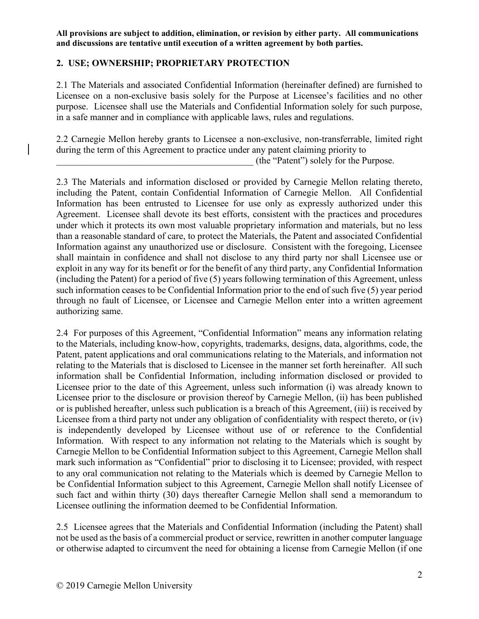### **2. USE; OWNERSHIP; PROPRIETARY PROTECTION**

2.1 The Materials and associated Confidential Information (hereinafter defined) are furnished to Licensee on a non-exclusive basis solely for the Purpose at Licensee's facilities and no other purpose. Licensee shall use the Materials and Confidential Information solely for such purpose, in a safe manner and in compliance with applicable laws, rules and regulations.

2.2 Carnegie Mellon hereby grants to Licensee a non-exclusive, non-transferrable, limited right during the term of this Agreement to practice under any patent claiming priority to

\_\_\_\_\_\_\_\_\_\_\_\_\_\_\_\_\_\_\_\_\_\_\_\_\_\_\_\_\_\_\_\_\_\_\_\_\_\_\_\_\_\_ (the "Patent") solely for the Purpose.

2.3 The Materials and information disclosed or provided by Carnegie Mellon relating thereto, including the Patent, contain Confidential Information of Carnegie Mellon. All Confidential Information has been entrusted to Licensee for use only as expressly authorized under this Agreement. Licensee shall devote its best efforts, consistent with the practices and procedures under which it protects its own most valuable proprietary information and materials, but no less than a reasonable standard of care, to protect the Materials, the Patent and associated Confidential Information against any unauthorized use or disclosure. Consistent with the foregoing, Licensee shall maintain in confidence and shall not disclose to any third party nor shall Licensee use or exploit in any way for its benefit or for the benefit of any third party, any Confidential Information (including the Patent) for a period of five (5) years following termination of this Agreement, unless such information ceases to be Confidential Information prior to the end of such five (5) year period through no fault of Licensee, or Licensee and Carnegie Mellon enter into a written agreement authorizing same.

2.4 For purposes of this Agreement, "Confidential Information" means any information relating to the Materials, including know-how, copyrights, trademarks, designs, data, algorithms, code, the Patent, patent applications and oral communications relating to the Materials, and information not relating to the Materials that is disclosed to Licensee in the manner set forth hereinafter. All such information shall be Confidential Information, including information disclosed or provided to Licensee prior to the date of this Agreement, unless such information (i) was already known to Licensee prior to the disclosure or provision thereof by Carnegie Mellon, (ii) has been published or is published hereafter, unless such publication is a breach of this Agreement, (iii) is received by Licensee from a third party not under any obligation of confidentiality with respect thereto, or (iv) is independently developed by Licensee without use of or reference to the Confidential Information. With respect to any information not relating to the Materials which is sought by Carnegie Mellon to be Confidential Information subject to this Agreement, Carnegie Mellon shall mark such information as "Confidential" prior to disclosing it to Licensee; provided, with respect to any oral communication not relating to the Materials which is deemed by Carnegie Mellon to be Confidential Information subject to this Agreement, Carnegie Mellon shall notify Licensee of such fact and within thirty (30) days thereafter Carnegie Mellon shall send a memorandum to Licensee outlining the information deemed to be Confidential Information.

2.5 Licensee agrees that the Materials and Confidential Information (including the Patent) shall not be used as the basis of a commercial product or service, rewritten in another computer language or otherwise adapted to circumvent the need for obtaining a license from Carnegie Mellon (if one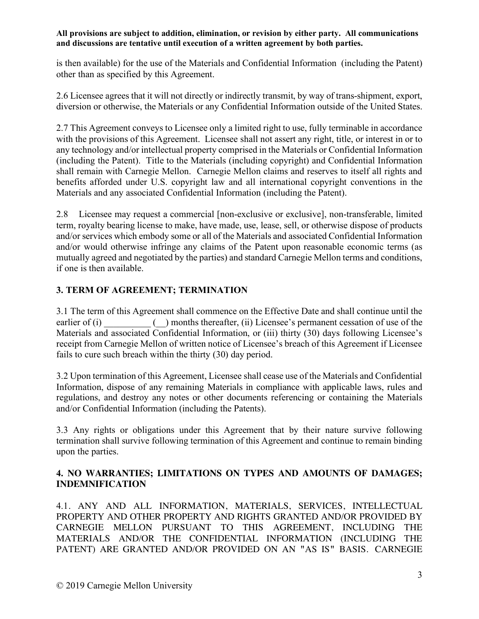is then available) for the use of the Materials and Confidential Information (including the Patent) other than as specified by this Agreement.

2.6 Licensee agrees that it will not directly or indirectly transmit, by way of trans-shipment, export, diversion or otherwise, the Materials or any Confidential Information outside of the United States.

2.7 This Agreement conveys to Licensee only a limited right to use, fully terminable in accordance with the provisions of this Agreement. Licensee shall not assert any right, title, or interest in or to any technology and/or intellectual property comprised in the Materials or Confidential Information (including the Patent). Title to the Materials (including copyright) and Confidential Information shall remain with Carnegie Mellon. Carnegie Mellon claims and reserves to itself all rights and benefits afforded under U.S. copyright law and all international copyright conventions in the Materials and any associated Confidential Information (including the Patent).

2.8 Licensee may request a commercial [non-exclusive or exclusive], non-transferable, limited term, royalty bearing license to make, have made, use, lease, sell, or otherwise dispose of products and/or services which embody some or all of the Materials and associated Confidential Information and/or would otherwise infringe any claims of the Patent upon reasonable economic terms (as mutually agreed and negotiated by the parties) and standard Carnegie Mellon terms and conditions, if one is then available.

# **3. TERM OF AGREEMENT; TERMINATION**

3.1 The term of this Agreement shall commence on the Effective Date and shall continue until the earlier of (i)  $\qquad \qquad$  ( $\qquad$ ) months thereafter, (ii) Licensee's permanent cessation of use of the Materials and associated Confidential Information, or (iii) thirty (30) days following Licensee's receipt from Carnegie Mellon of written notice of Licensee's breach of this Agreement if Licensee fails to cure such breach within the thirty (30) day period.

3.2 Upon termination of this Agreement, Licensee shall cease use of the Materials and Confidential Information, dispose of any remaining Materials in compliance with applicable laws, rules and regulations, and destroy any notes or other documents referencing or containing the Materials and/or Confidential Information (including the Patents).

3.3 Any rights or obligations under this Agreement that by their nature survive following termination shall survive following termination of this Agreement and continue to remain binding upon the parties.

# **4. NO WARRANTIES; LIMITATIONS ON TYPES AND AMOUNTS OF DAMAGES; INDEMNIFICATION**

4.1. ANY AND ALL INFORMATION, MATERIALS, SERVICES, INTELLECTUAL PROPERTY AND OTHER PROPERTY AND RIGHTS GRANTED AND/OR PROVIDED BY CARNEGIE MELLON PURSUANT TO THIS AGREEMENT, INCLUDING THE MATERIALS AND/OR THE CONFIDENTIAL INFORMATION (INCLUDING THE PATENT) ARE GRANTED AND/OR PROVIDED ON AN **"**AS IS**"** BASIS. CARNEGIE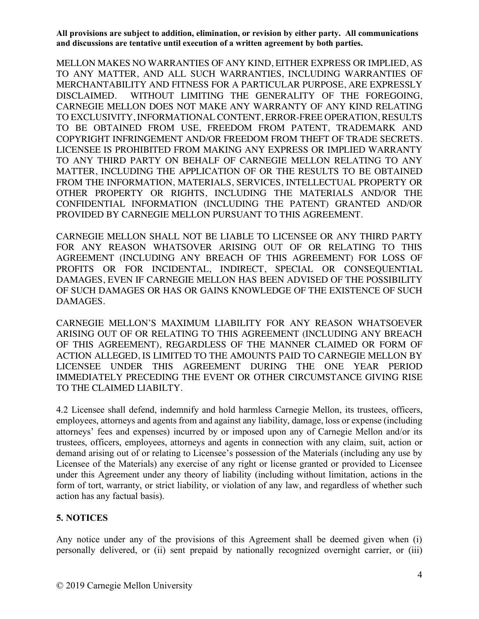MELLON MAKES NO WARRANTIES OF ANY KIND, EITHER EXPRESS OR IMPLIED, AS TO ANY MATTER, AND ALL SUCH WARRANTIES, INCLUDING WARRANTIES OF MERCHANTABILITY AND FITNESS FOR A PARTICULAR PURPOSE, ARE EXPRESSLY DISCLAIMED. WITHOUT LIMITING THE GENERALITY OF THE FOREGOING, CARNEGIE MELLON DOES NOT MAKE ANY WARRANTY OF ANY KIND RELATING TO EXCLUSIVITY, INFORMATIONAL CONTENT, ERROR-FREE OPERATION, RESULTS TO BE OBTAINED FROM USE, FREEDOM FROM PATENT, TRADEMARK AND COPYRIGHT INFRINGEMENT AND/OR FREEDOM FROM THEFT OF TRADE SECRETS. LICENSEE IS PROHIBITED FROM MAKING ANY EXPRESS OR IMPLIED WARRANTY TO ANY THIRD PARTY ON BEHALF OF CARNEGIE MELLON RELATING TO ANY MATTER, INCLUDING THE APPLICATION OF OR THE RESULTS TO BE OBTAINED FROM THE INFORMATION, MATERIALS, SERVICES, INTELLECTUAL PROPERTY OR OTHER PROPERTY OR RIGHTS, INCLUDING THE MATERIALS AND/OR THE CONFIDENTIAL INFORMATION (INCLUDING THE PATENT) GRANTED AND/OR PROVIDED BY CARNEGIE MELLON PURSUANT TO THIS AGREEMENT.

CARNEGIE MELLON SHALL NOT BE LIABLE TO LICENSEE OR ANY THIRD PARTY FOR ANY REASON WHATSOVER ARISING OUT OF OR RELATING TO THIS AGREEMENT (INCLUDING ANY BREACH OF THIS AGREEMENT) FOR LOSS OF PROFITS OR FOR INCIDENTAL, INDIRECT, SPECIAL OR CONSEQUENTIAL DAMAGES, EVEN IF CARNEGIE MELLON HAS BEEN ADVISED OF THE POSSIBILITY OF SUCH DAMAGES OR HAS OR GAINS KNOWLEDGE OF THE EXISTENCE OF SUCH DAMAGES.

CARNEGIE MELLON'S MAXIMUM LIABILITY FOR ANY REASON WHATSOEVER ARISING OUT OF OR RELATING TO THIS AGREEMENT (INCLUDING ANY BREACH OF THIS AGREEMENT), REGARDLESS OF THE MANNER CLAIMED OR FORM OF ACTION ALLEGED, IS LIMITED TO THE AMOUNTS PAID TO CARNEGIE MELLON BY LICENSEE UNDER THIS AGREEMENT DURING THE ONE YEAR PERIOD IMMEDIATELY PRECEDING THE EVENT OR OTHER CIRCUMSTANCE GIVING RISE TO THE CLAIMED LIABILTY.

4.2 Licensee shall defend, indemnify and hold harmless Carnegie Mellon, its trustees, officers, employees, attorneys and agents from and against any liability, damage, loss or expense (including attorneys' fees and expenses) incurred by or imposed upon any of Carnegie Mellon and/or its trustees, officers, employees, attorneys and agents in connection with any claim, suit, action or demand arising out of or relating to Licensee's possession of the Materials (including any use by Licensee of the Materials) any exercise of any right or license granted or provided to Licensee under this Agreement under any theory of liability (including without limitation, actions in the form of tort, warranty, or strict liability, or violation of any law, and regardless of whether such action has any factual basis).

# **5. NOTICES**

Any notice under any of the provisions of this Agreement shall be deemed given when (i) personally delivered, or (ii) sent prepaid by nationally recognized overnight carrier, or (iii)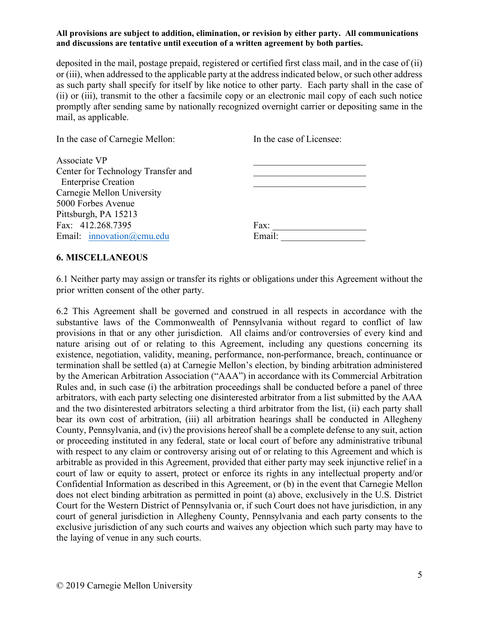deposited in the mail, postage prepaid, registered or certified first class mail, and in the case of (ii) or (iii), when addressed to the applicable party at the address indicated below, or such other address as such party shall specify for itself by like notice to other party. Each party shall in the case of (ii) or (iii), transmit to the other a facsimile copy or an electronic mail copy of each such notice promptly after sending same by nationally recognized overnight carrier or depositing same in the mail, as applicable.

| In the case of Carnegie Mellon:                 | In the case of Licensee: |
|-------------------------------------------------|--------------------------|
| Associate VP                                    |                          |
| Center for Technology Transfer and              |                          |
| <b>Enterprise Creation</b>                      |                          |
| Carnegie Mellon University                      |                          |
| 5000 Forbes Avenue                              |                          |
| Pittsburgh, PA 15213                            |                          |
| Fax: 412.268.7395                               | Fax:                     |
| Email: $\text{innovation}(\widehat{a})$ cmu.edu | Email:                   |

### **6. MISCELLANEOUS**

6.1 Neither party may assign or transfer its rights or obligations under this Agreement without the prior written consent of the other party.

6.2 This Agreement shall be governed and construed in all respects in accordance with the substantive laws of the Commonwealth of Pennsylvania without regard to conflict of law provisions in that or any other jurisdiction. All claims and/or controversies of every kind and nature arising out of or relating to this Agreement, including any questions concerning its existence, negotiation, validity, meaning, performance, non-performance, breach, continuance or termination shall be settled (a) at Carnegie Mellon's election, by binding arbitration administered by the American Arbitration Association ("AAA") in accordance with its Commercial Arbitration Rules and, in such case (i) the arbitration proceedings shall be conducted before a panel of three arbitrators, with each party selecting one disinterested arbitrator from a list submitted by the AAA and the two disinterested arbitrators selecting a third arbitrator from the list, (ii) each party shall bear its own cost of arbitration, (iii) all arbitration hearings shall be conducted in Allegheny County, Pennsylvania, and (iv) the provisions hereof shall be a complete defense to any suit, action or proceeding instituted in any federal, state or local court of before any administrative tribunal with respect to any claim or controversy arising out of or relating to this Agreement and which is arbitrable as provided in this Agreement, provided that either party may seek injunctive relief in a court of law or equity to assert, protect or enforce its rights in any intellectual property and/or Confidential Information as described in this Agreement, or (b) in the event that Carnegie Mellon does not elect binding arbitration as permitted in point (a) above, exclusively in the U.S. District Court for the Western District of Pennsylvania or, if such Court does not have jurisdiction, in any court of general jurisdiction in Allegheny County, Pennsylvania and each party consents to the exclusive jurisdiction of any such courts and waives any objection which such party may have to the laying of venue in any such courts.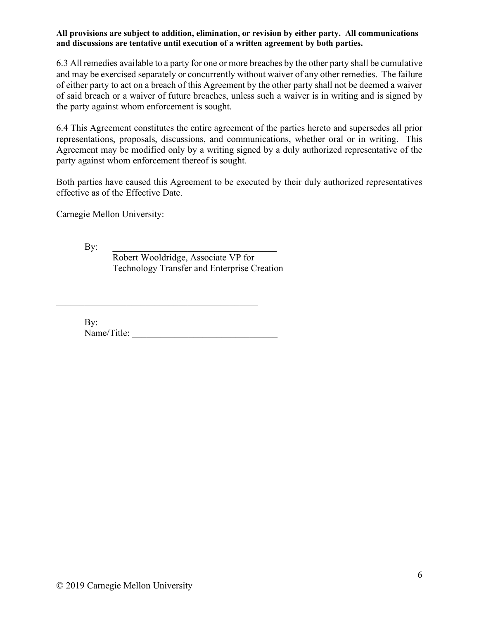6.3 All remedies available to a party for one or more breaches by the other party shall be cumulative and may be exercised separately or concurrently without waiver of any other remedies. The failure of either party to act on a breach of this Agreement by the other party shall not be deemed a waiver of said breach or a waiver of future breaches, unless such a waiver is in writing and is signed by the party against whom enforcement is sought.

6.4 This Agreement constitutes the entire agreement of the parties hereto and supersedes all prior representations, proposals, discussions, and communications, whether oral or in writing. This Agreement may be modified only by a writing signed by a duly authorized representative of the party against whom enforcement thereof is sought.

Both parties have caused this Agreement to be executed by their duly authorized representatives effective as of the Effective Date.

Carnegie Mellon University:

 $\mathbf{By:}$ Robert Wooldridge, Associate VP for Technology Transfer and Enterprise Creation

 $\mathbf{By:}$ Name/Title:

 $\mathcal{L}_\text{max}$  , and the contract of the contract of the contract of the contract of the contract of the contract of the contract of the contract of the contract of the contract of the contract of the contract of the contr